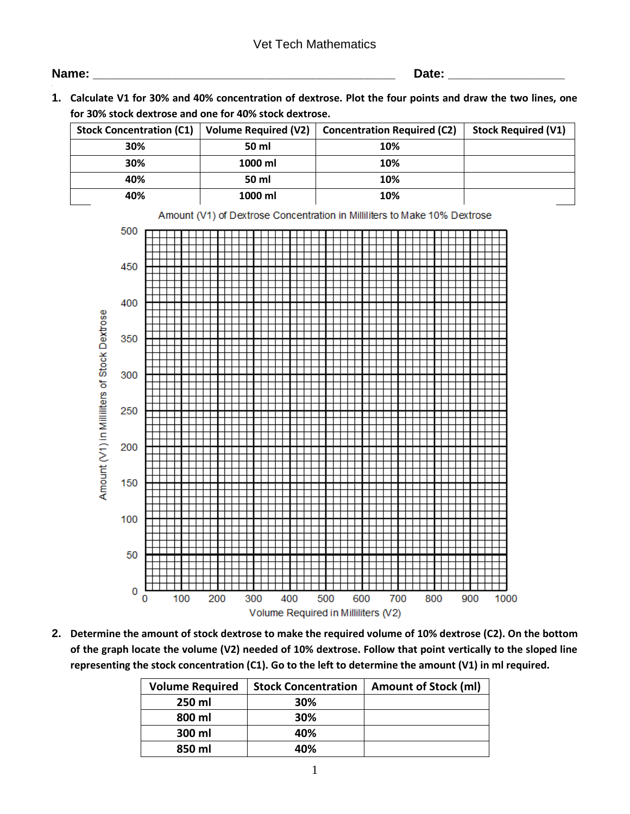## Vet Tech Mathematics

| Name |  |
|------|--|
|      |  |

**Name: \_\_\_\_\_\_\_\_\_\_\_\_\_\_\_\_\_\_\_\_\_\_\_\_\_\_\_\_\_\_\_\_\_\_\_\_\_\_\_\_\_\_\_\_ Date: \_\_\_\_\_\_\_\_\_\_\_\_\_\_\_\_\_**

**1. Calculate V1 for 30% and 40% concentration of dextrose. Plot the four points and draw the two lines, one for 30% stock dextrose and one for 40% stock dextrose.**

| <b>Stock Concentration (C1)</b> | <b>Volume Required (V2)</b><br><b>Concentration Required (C2)</b> |     | <b>Stock Required (V1)</b> |
|---------------------------------|-------------------------------------------------------------------|-----|----------------------------|
| 30%                             | 50 ml                                                             | 10% |                            |
| 30%                             | 1000 ml                                                           | 10% |                            |
| 40%                             | 50 ml                                                             | 10% |                            |
| 40%                             | 1000 ml                                                           | 10% |                            |



**2. Determine the amount of stock dextrose to make the required volume of 10% dextrose (C2). On the bottom of the graph locate the volume (V2) needed of 10% dextrose. Follow that point vertically to the sloped line representing the stock concentration (C1). Go to the left to determine the amount (V1) in ml required.**

| <b>Volume Required</b> | <b>Stock Concentration</b> | <b>Amount of Stock (ml)</b> |
|------------------------|----------------------------|-----------------------------|
| 250 ml                 | 30%                        |                             |
| 800 ml                 | 30%                        |                             |
| 300 ml                 | 40%                        |                             |
| 850 ml                 | 40%                        |                             |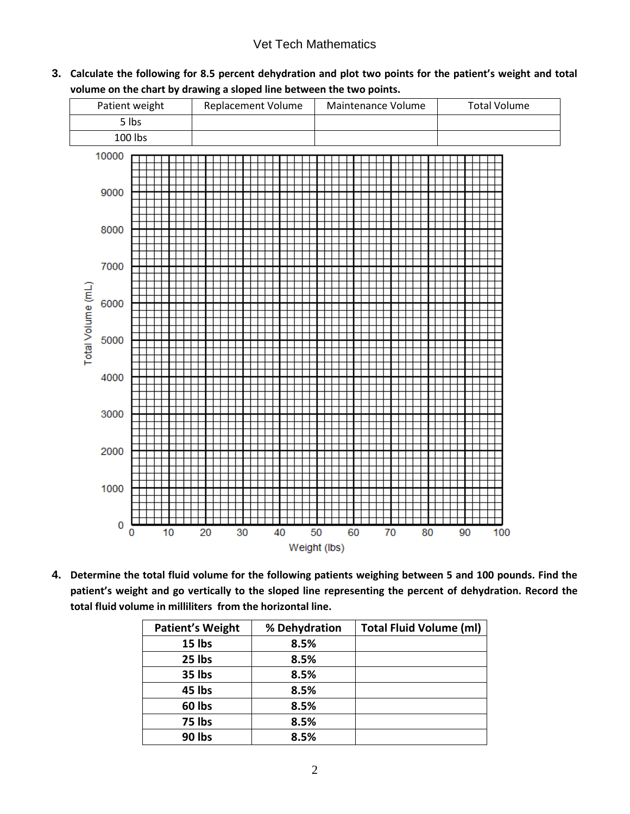# Vet Tech Mathematics

**3. Calculate the following for 8.5 percent dehydration and plot two points for the patient's weight and total volume on the chart by drawing a sloped line between the two points.**



**4. Determine the total fluid volume for the following patients weighing between 5 and 100 pounds. Find the patient's weight and go vertically to the sloped line representing the percent of dehydration. Record the total fluid volume in milliliters from the horizontal line.**

| <b>Patient's Weight</b> | % Dehydration | <b>Total Fluid Volume (ml)</b> |
|-------------------------|---------------|--------------------------------|
| 15 lbs                  | 8.5%          |                                |
| 25 lbs                  | 8.5%          |                                |
| 35 lbs                  | 8.5%          |                                |
| 45 lbs                  | 8.5%          |                                |
| 60 lbs                  | 8.5%          |                                |
| 75 lbs                  | 8.5%          |                                |
| 90 lbs                  | 8.5%          |                                |